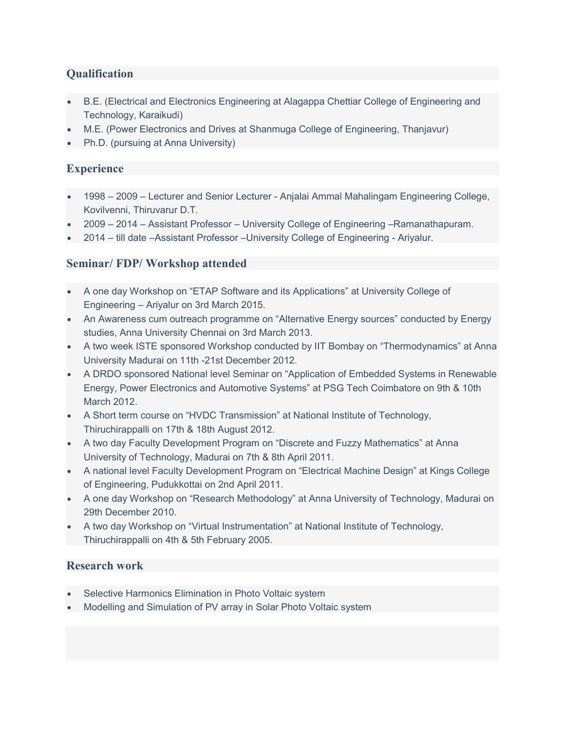## **Qualification**

- B.E. (Electrical and Electronics Engineering at Alagappa Chettiar College of Engineering and Technology, Karaikudi)
- M.E. (Power Electronics and Drives at Shanmuga College of Engineering, Thanjavur)
- Ph.D. (pursuing at Anna University)

## **Experience**

- 1998 2009 Lecturer and Senior Lecturer Anjalai Ammal Mahalingam Engineering College, Kovilvenni, Thiruvarur D.T.
- 2009 2014 Assistant Professor University College of Engineering –Ramanathapuram.
- 2014 till date –Assistant Professor –University College of Engineering Ariyalur.

## Seminar/ FDP/ Workshop attended

- A one day Workshop on "ETAP Software and its Applications" at University College of Engineering – Ariyalur on 3rd March 2015.
- An Awareness cum outreach programme on "Alternative Energy sources" conducted by Energy studies, Anna University Chennai on 3rd March 2013.
- A two week ISTE sponsored Workshop conducted by IIT Bombay on "Thermodynamics" at Anna University Madurai on 11th -21st December 2012.
- A DRDO sponsored National level Seminar on "Application of Embedded Systems in Renewable Energy, Power Electronics and Automotive Systems" at PSG Tech Coimbatore on 9th & 10th March 2012.
- A Short term course on "HVDC Transmission" at National Institute of Technology, Thiruchirappalli on 17th & 18th August 2012.
- A two day Faculty Development Program on "Discrete and Fuzzy Mathematics" at Anna University of Technology, Madurai on 7th & 8th April 2011.
- A national level Faculty Development Program on "Electrical Machine Design" at Kings College of Engineering, Pudukkottai on 2nd April 2011.
- A one day Workshop on "Research Methodology" at Anna University of Technology, Madurai on 29th December 2010.
- A two day Workshop on "Virtual Instrumentation" at National Institute of Technology, Thiruchirappalli on 4th & 5th February 2005.

#### Research work

- Selective Harmonics Elimination in Photo Voltaic system
- Modelling and Simulation of PV array in Solar Photo Voltaic system